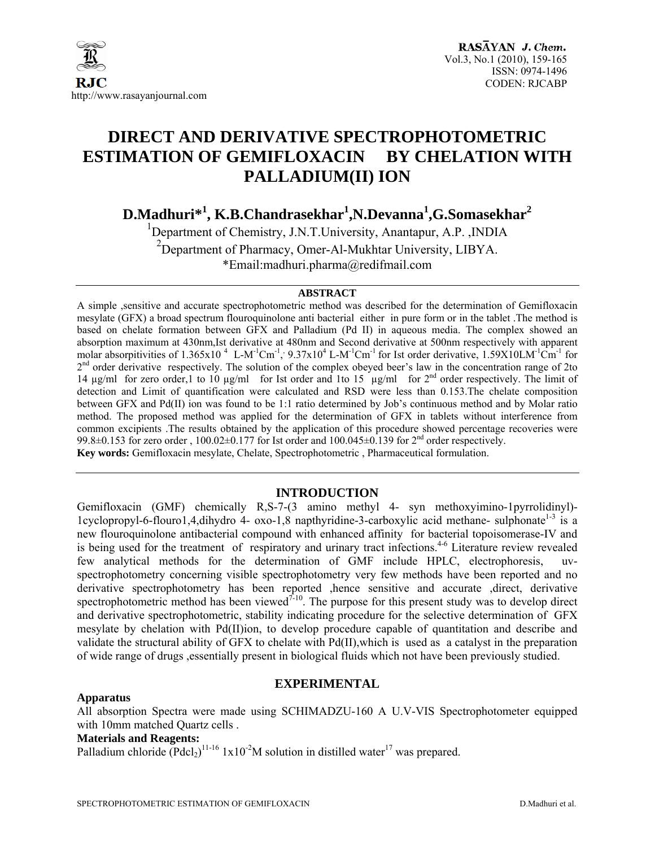

## **DIRECT AND DERIVATIVE SPECTROPHOTOMETRIC ESTIMATION OF GEMIFLOXACIN BY CHELATION WITH PALLADIUM(II) ION**

 $\mathbf{D}.\mathbf{M}$ adhuri $^{*1}$ ,  $\mathbf{K}.\mathbf{B}.\mathbf{C}$ handrasekhar $^{1}$ ,N. $\mathbf{D}$ evanna $^{1}$ ,G. $\mathbf{S}$ omasekhar $^{2}$ 

<sup>1</sup>Department of Chemistry, J.N.T.University, Anantapur, A.P., INDIA <sup>2</sup>Department of Pharmacy, Omer-Al-Mukhtar University, LIBYA. \*Email:madhuri.pharma@redifmail.com

#### **ABSTRACT**

A simple ,sensitive and accurate spectrophotometric method was described for the determination of Gemifloxacin mesylate (GFX) a broad spectrum flouroquinolone anti bacterial either in pure form or in the tablet .The method is based on chelate formation between GFX and Palladium (Pd II) in aqueous media. The complex showed an absorption maximum at 430nm,Ist derivative at 480nm and Second derivative at 500nm respectively with apparent molar absorpitivities of  $1.365x10^4$  L-M<sup>-1</sup>Cm<sup>-1</sup>,  $9.37x10^4$  L-M<sup>-1</sup>Cm<sup>-1</sup> for Ist order derivative,  $1.59X10$ LM<sup>-1</sup>Cm<sup>-1</sup> for  $2<sup>nd</sup>$  order derivative respectively. The solution of the complex obeyed beer's law in the concentration range of 2to 14 µg/ml for zero order,1 to 10 µg/ml for Ist order and 1to 15 µg/ml for 2nd order respectively. The limit of detection and Limit of quantification were calculated and RSD were less than 0.153.The chelate composition between GFX and Pd(II) ion was found to be 1:1 ratio determined by Job's continuous method and by Molar ratio method. The proposed method was applied for the determination of GFX in tablets without interference from common excipients .The results obtained by the application of this procedure showed percentage recoveries were 99.8 $\pm$ 0.153 for zero order, 100.02 $\pm$ 0.177 for Ist order and 100.045 $\pm$ 0.139 for 2<sup>nd</sup> order respectively. **Key words:** Gemifloxacin mesylate, Chelate, Spectrophotometric , Pharmaceutical formulation.

## **INTRODUCTION**

Gemifloxacin (GMF) chemically R,S-7-(3 amino methyl 4- syn methoxyimino-1pyrrolidinyl)- 1cyclopropyl-6-flouro1,4,dihydro 4- oxo-1,8 napthyridine-3-carboxylic acid methane- sulphonate<sup>1-3</sup> is a new flouroquinolone antibacterial compound with enhanced affinity for bacterial topoisomerase-IV and is being used for the treatment of respiratory and urinary tract infections.<sup>4-6</sup> Literature review revealed few analytical methods for the determination of GMF include HPLC, electrophoresis, uvspectrophotometry concerning visible spectrophotometry very few methods have been reported and no derivative spectrophotometry has been reported ,hence sensitive and accurate ,direct, derivative spectrophotometric method has been viewed<sup> $7-10$ </sup>. The purpose for this present study was to develop direct and derivative spectrophotometric, stability indicating procedure for the selective determination of GFX mesylate by chelation with Pd(II)ion, to develop procedure capable of quantitation and describe and validate the structural ability of GFX to chelate with Pd(II),which is used as a catalyst in the preparation of wide range of drugs ,essentially present in biological fluids which not have been previously studied.

#### **Apparatus**

## **EXPERIMENTAL**

All absorption Spectra were made using SCHIMADZU-160 A U.V-VIS Spectrophotometer equipped with 10mm matched Quartz cells .

#### **Materials and Reagents:**

Palladium chloride  $(Pdcl<sub>2</sub>)$ <sup>11-16</sup> 1x10<sup>-2</sup>M solution in distilled water<sup>17</sup> was prepared.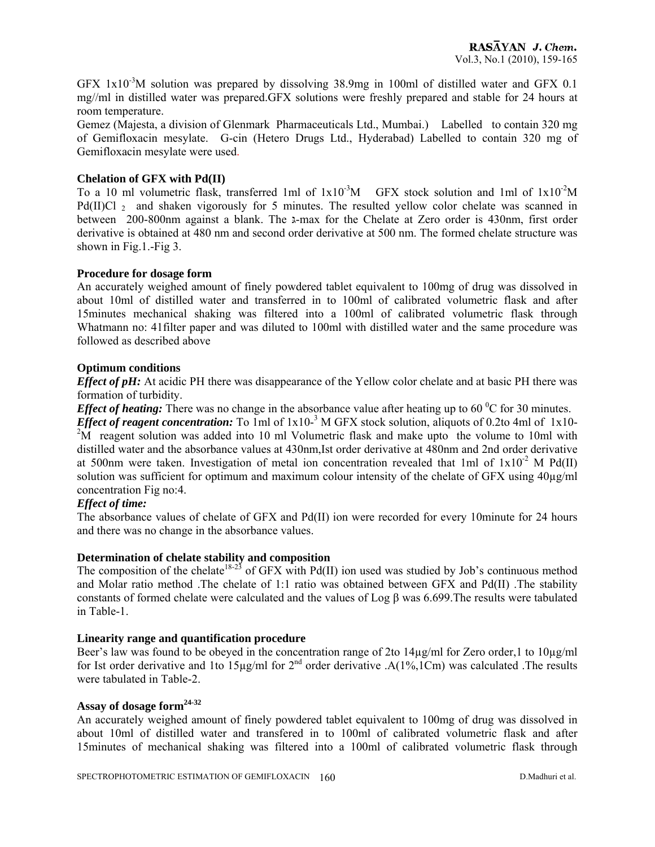GFX  $1x10^{-3}$ M solution was prepared by dissolving 38.9mg in 100ml of distilled water and GFX 0.1 mg//ml in distilled water was prepared.GFX solutions were freshly prepared and stable for 24 hours at room temperature.

Gemez (Majesta, a division of Glenmark Pharmaceuticals Ltd., Mumbai.) Labelled to contain 320 mg of Gemifloxacin mesylate. G-cin (Hetero Drugs Ltd., Hyderabad) Labelled to contain 320 mg of Gemifloxacin mesylate were used.

## **Chelation of GFX with Pd(II)**

To a 10 ml volumetric flask, transferred 1ml of  $1x10^{-3}M$  GFX stock solution and 1ml of  $1x10^{-2}M$ Pd(II)Cl  $_2$  and shaken vigorously for 5 minutes. The resulted yellow color chelate was scanned in between 200-800nm against a blank. The גּ-max for the Chelate at Zero order is 430nm, first order derivative is obtained at 480 nm and second order derivative at 500 nm. The formed chelate structure was shown in Fig.1.-Fig 3.

## **Procedure for dosage form**

An accurately weighed amount of finely powdered tablet equivalent to 100mg of drug was dissolved in about 10ml of distilled water and transferred in to 100ml of calibrated volumetric flask and after 15minutes mechanical shaking was filtered into a 100ml of calibrated volumetric flask through Whatmann no: 41filter paper and was diluted to 100ml with distilled water and the same procedure was followed as described above

## **Optimum conditions**

*Effect of pH:* At acidic PH there was disappearance of the Yellow color chelate and at basic PH there was formation of turbidity.

*Effect of heating:* There was no change in the absorbance value after heating up to  $60^{\circ}$ C for 30 minutes.

*Effect of reagent concentration:* To 1ml of 1x10<sup>-3</sup> M GFX stock solution, aliquots of 0.2to 4ml of 1x10- $2\overline{M}$  reagent solution was added into 10 ml Volumetric flask and make upto the volume to 10ml with distilled water and the absorbance values at 430nm,Ist order derivative at 480nm and 2nd order derivative at 500nm were taken. Investigation of metal ion concentration revealed that 1ml of  $1x10^{-2}$  M Pd(II) solution was sufficient for optimum and maximum colour intensity of the chelate of GFX using  $40\mu$ g/ml concentration Fig no:4.

#### *Effect of time:*

The absorbance values of chelate of GFX and Pd(II) ion were recorded for every 10minute for 24 hours and there was no change in the absorbance values.

#### **Determination of chelate stability and composition**

The composition of the chelate<sup>18-23</sup> of GFX with Pd(II) ion used was studied by Job's continuous method and Molar ratio method .The chelate of 1:1 ratio was obtained between GFX and Pd(II) .The stability constants of formed chelate were calculated and the values of Log β was 6.699.The results were tabulated in Table-1.

#### **Linearity range and quantification procedure**

Beer's law was found to be obeyed in the concentration range of 2to 14µg/ml for Zero order,1 to 10µg/ml for Ist order derivative and 1to 15µg/ml for 2nd order derivative .A(1%,1Cm) was calculated .The results were tabulated in Table-2.

## **Assay of dosage form24-32**

An accurately weighed amount of finely powdered tablet equivalent to 100mg of drug was dissolved in about 10ml of distilled water and transfered in to 100ml of calibrated volumetric flask and after 15minutes of mechanical shaking was filtered into a 100ml of calibrated volumetric flask through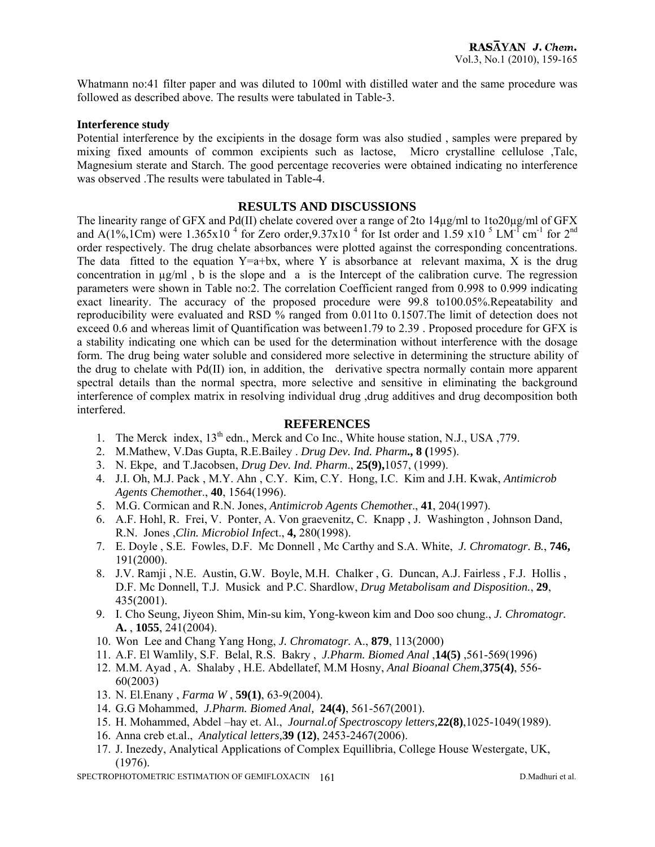Whatmann no:41 filter paper and was diluted to 100ml with distilled water and the same procedure was followed as described above. The results were tabulated in Table-3.

#### **Interference study**

Potential interference by the excipients in the dosage form was also studied , samples were prepared by mixing fixed amounts of common excipients such as lactose, Micro crystalline cellulose ,Talc, Magnesium sterate and Starch. The good percentage recoveries were obtained indicating no interference was observed .The results were tabulated in Table-4.

#### **RESULTS AND DISCUSSIONS**

The linearity range of GFX and Pd(II) chelate covered over a range of 2to 14µg/ml to 1to20µg/ml of GFX and A(1%,1Cm) were 1.365x10<sup>4</sup> for Zero order,9.37x10<sup>4</sup> for Ist order and 1.59 x10<sup>5</sup> LM<sup>-T</sup> cm<sup>-1</sup> for 2<sup>nd</sup> order respectively. The drug chelate absorbances were plotted against the corresponding concentrations. The data fitted to the equation  $Y=a+bx$ , where Y is absorbance at relevant maxima, X is the drug concentration in µg/ml , b is the slope and a is the Intercept of the calibration curve. The regression parameters were shown in Table no:2. The correlation Coefficient ranged from 0.998 to 0.999 indicating exact linearity. The accuracy of the proposed procedure were 99.8 to100.05%.Repeatability and reproducibility were evaluated and RSD % ranged from 0.011to 0.1507.The limit of detection does not exceed 0.6 and whereas limit of Quantification was between1.79 to 2.39 . Proposed procedure for GFX is a stability indicating one which can be used for the determination without interference with the dosage form. The drug being water soluble and considered more selective in determining the structure ability of the drug to chelate with  $Pd(\Pi)$  ion, in addition, the derivative spectra normally contain more apparent spectral details than the normal spectra, more selective and sensitive in eliminating the background interference of complex matrix in resolving individual drug ,drug additives and drug decomposition both interfered.

## **REFERENCES**

- 1. The Merck index,  $13<sup>th</sup>$  edn., Merck and Co Inc., White house station, N.J., USA ,779.
- 2. M.Mathew, V.Das Gupta, R.E.Bailey . *Drug Dev. Ind. Pharm***., 8 (**1995).
- 3. N. Ekpe, and T.Jacobsen, *Drug Dev. Ind. Pharm*., **25(9),**1057, (1999).
- 4. J.I. Oh, M.J. Pack , M.Y. Ahn , C.Y. Kim, C.Y. Hong, I.C. Kim and J.H. Kwak, *Antimicrob Agents Chemothe*r., **40**, 1564(1996).
- 5. M.G. Cormican and R.N. Jones, *Antimicrob Agents Chemothe*r., **41**, 204(1997).
- 6. A.F. Hohl, R. Frei, V. Ponter, A. Von graevenitz, C. Knapp , J. Washington , Johnson Dand, R.N. Jones ,*Clin. Microbiol Infec*t., **4,** 280(1998).
- 7. E. Doyle , S.E. Fowles, D.F. Mc Donnell , Mc Carthy and S.A. White, *J. Chromatogr. B.*, **746,** 191(2000).
- 8. J.V. Ramji , N.E. Austin, G.W. Boyle, M.H. Chalker , G. Duncan, A.J. Fairless , F.J. Hollis , D.F. Mc Donnell, T.J. Musick and P.C. Shardlow, *Drug Metabolisam and Disposition.*, **29**, 435(2001).
- 9. I. Cho Seung, Jiyeon Shim, Min-su kim, Yong-kweon kim and Doo soo chung., *J. Chromatogr.*  **A.** , **1055**, 241(2004).
- 10. Won Lee and Chang Yang Hong, *J. Chromatogr.* A., **879**, 113(2000)
- 11. A.F. El Wamlily, S.F. Belal, R.S. Bakry , *J.Pharm. Biomed Anal* ,**14(5)** ,561-569(1996)
- 12. M.M. Ayad , A. Shalaby , H.E. Abdellatef, M.M Hosny, *Anal Bioanal Chem*,**375(4)**, 556- 60(2003)
- 13. N. El.Enany , *Farma W* , **59(1)**, 63-9(2004).
- 14. G.G Mohammed, *J.Pharm. Biomed Anal,* **24(4)**, 561-567(2001).
- 15. H. Mohammed, Abdel –hay et. Al., *Journal.of Spectroscopy letters,***22(8)**,1025-1049(1989).
- 16. Anna creb et.al., *Analytical letters,***39 (12)**, 2453-2467(2006).
- 17. J. Inezedy, Analytical Applications of Complex Equillibria, College House Westergate, UK, (1976).

SPECTROPHOTOMETRIC ESTIMATION OF GEMIFLOXACIN 161 D.Madhuri et al.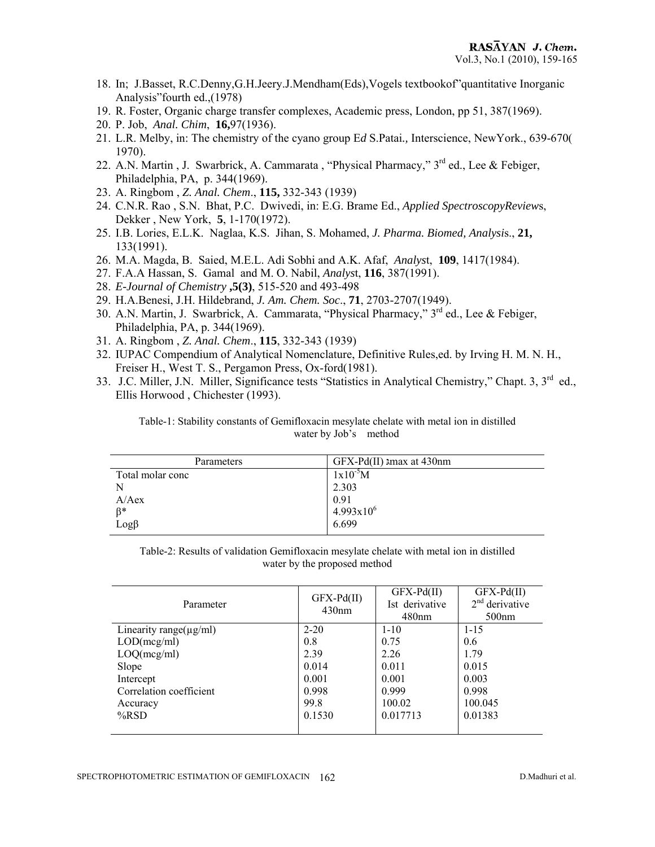- 18. In; J.Basset, R.C.Denny,G.H.Jeery.J.Mendham(Eds),Vogels textbookof"quantitative Inorganic Analysis"fourth ed.,(1978)
- 19. R. Foster, Organic charge transfer complexes, Academic press, London, pp 51, 387(1969).
- 20. P. Job, *Anal. Chim*, **16,**97(1936).
- 21. L.R. Melby, in: The chemistry of the cyano group E*d* S.Patai*.,* Interscience, NewYork., 639-670( 1970).
- 22. A.N. Martin, J. Swarbrick, A. Cammarata, "Physical Pharmacy," 3<sup>rd</sup> ed., Lee & Febiger, Philadelphia, PA, p. 344(1969).
- 23. A. Ringbom , *Z. Anal. Chem*., **115,** 332-343 (1939)
- 24. C.N.R. Rao , S.N. Bhat, P.C. Dwivedi, in: E.G. Brame Ed., *Applied SpectroscopyReview*s, Dekker , New York, **5**, 1-170(1972).
- 25. I.B. Lories, E.L.K. Naglaa, K.S. Jihan, S. Mohamed, *J. Pharma. Biomed, Analysi*s., **21,** 133(1991).
- 26. M.A. Magda, B. Saied, M.E.L. Adi Sobhi and A.K. Afaf, *Analys*t, **109**, 1417(1984).
- 27. F.A.A Hassan, S. Gamal and M. O. Nabil, *Analys*t, **116**, 387(1991).
- 28. *E-Journal of Chemistry* **,5(3)**, 515-520 and 493-498
- 29. H.A.Benesi, J.H. Hildebrand, *J. Am. Chem. Soc*., **71**, 2703-2707(1949).
- 30. A.N. Martin, J. Swarbrick, A. Cammarata, "Physical Pharmacy," 3<sup>rd</sup> ed., Lee & Febiger, Philadelphia, PA, p. 344(1969).
- 31. A. Ringbom , *Z. Anal. Chem*., **115**, 332-343 (1939)
- 32. IUPAC Compendium of Analytical Nomenclature, Definitive Rules,ed. by Irving H. M. N. H., Freiser H., West T. S., Pergamon Press, Ox-ford(1981).
- 33. J.C. Miller, J.N. Miller, Significance tests "Statistics in Analytical Chemistry," Chapt. 3, 3rd ed., Ellis Horwood , Chichester (1993).

| Table-1: Stability constants of Gemifloxacin mesylate chelate with metal ion in distilled |  |
|-------------------------------------------------------------------------------------------|--|
| water by Job's method                                                                     |  |

| Parameters       | $GFX-Pd(II)$ amax at 430nm |
|------------------|----------------------------|
| Total molar conc | $1x10^{-5}M$               |
|                  | 2.303                      |
| A/Aex            | 0.91                       |
| $\beta^*$        | $4.993x10^{6}$             |
| $Log\beta$       | 6.699                      |

Table-2: Results of validation Gemifloxacin mesylate chelate with metal ion in distilled water by the proposed method

| Parameter                    | $GFX-Pd(II)$<br>430nm | $GFX-Pd(II)$<br>Ist derivative<br>480 <sub>nm</sub> | $GFX-Pd(II)$<br>$2nd$ derivative<br>500nm |  |
|------------------------------|-----------------------|-----------------------------------------------------|-------------------------------------------|--|
| Linearity range( $\mu$ g/ml) | $2 - 20$              | $1 - 10$                                            | $1 - 15$                                  |  |
| LOD(mcg/ml)                  | 0.8                   | 0.75                                                | 0.6                                       |  |
| LOQ(mcg/ml)                  | 2.39                  | 2.26                                                | 1.79                                      |  |
| Slope                        | 0.014                 | 0.011                                               | 0.015                                     |  |
| Intercept                    | 0.001                 | 0.001                                               | 0.003                                     |  |
| Correlation coefficient      | 0.998                 | 0.999                                               | 0.998                                     |  |
| Accuracy                     | 99.8                  | 100.02                                              | 100.045                                   |  |
| $%$ RSD                      | 0.1530                | 0.017713                                            | 0.01383                                   |  |
|                              |                       |                                                     |                                           |  |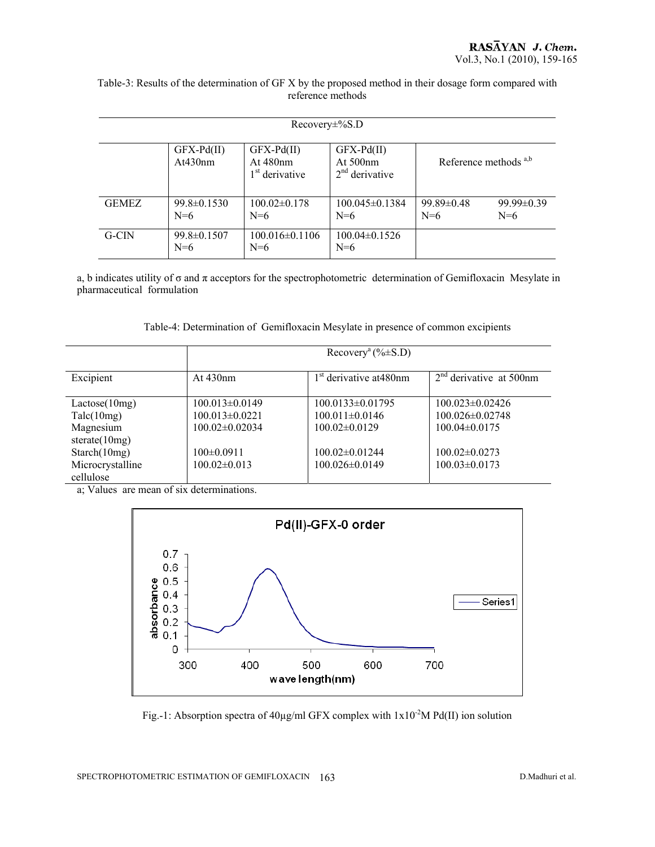| Table-3: Results of the determination of GF X by the proposed method in their dosage form compared with |
|---------------------------------------------------------------------------------------------------------|
| reference methods                                                                                       |

| $Recovery\pm\%S.D$ |                            |                                                           |                                                |                           |                           |
|--------------------|----------------------------|-----------------------------------------------------------|------------------------------------------------|---------------------------|---------------------------|
|                    | $GFX-Pd(II)$<br>At430nm    | $GFX-Pd(II)$<br>At $480$ nm<br>1 <sup>st</sup> derivative | $GFX-Pd(II)$<br>At $500nm$<br>$2nd$ derivative | Reference methods $a,b$   |                           |
| <b>GEMEZ</b>       | $99.8 \pm 0.1530$<br>$N=6$ | $100.02\pm0.178$<br>$N=6$                                 | $100.045 \pm 0.1384$<br>$N=6$                  | $99.89 \pm 0.48$<br>$N=6$ | $99.99 \pm 0.39$<br>$N=6$ |
| G-CIN              | $99.8 \pm 0.1507$<br>$N=6$ | $100.016 \pm 0.1106$<br>$N=6$                             | $100.04\pm0.1526$<br>$N=6$                     |                           |                           |

a, b indicates utility of σ and π acceptors for the spectrophotometric determination of Gemifloxacin Mesylate in pharmaceutical formulation

Table-4: Determination of Gemifloxacin Mesylate in presence of common excipients

|                                                              | Recovery <sup>a</sup> (% $\pm$ S.D)                                |                                                                     |                                                                       |
|--------------------------------------------------------------|--------------------------------------------------------------------|---------------------------------------------------------------------|-----------------------------------------------------------------------|
| Excipient                                                    | At $430nm$                                                         | 1 <sup>st</sup> derivative at 480nm                                 | $2nd$ derivative at 500nm                                             |
| Lactose(10mg)<br>Talc(10mg)<br>Magnesium<br>sterate $(10mg)$ | $100.013 \pm 0.0149$<br>$100.013 \pm 0.0221$<br>$100.02\pm0.02034$ | $100.0133 \pm 0.01795$<br>$100.011 \pm 0.0146$<br>$100.02\pm0.0129$ | $100.023 \pm 0.02426$<br>$100.026 \pm 0.02748$<br>$100.04 \pm 0.0175$ |
| Starch(10mg)<br>Microcrystalline<br>cellulose                | $100 \pm 0.0911$<br>$100.02 \pm 0.013$                             | 100.02±0.01244<br>100.026±0.0149                                    | $100.02 \pm 0.0273$<br>$100.03 \pm 0.0173$                            |

a; Values are mean of six determinations.



Fig.-1: Absorption spectra of  $40\mu\text{g/ml}$  GFX complex with  $1x10^{-2}M$  Pd(II) ion solution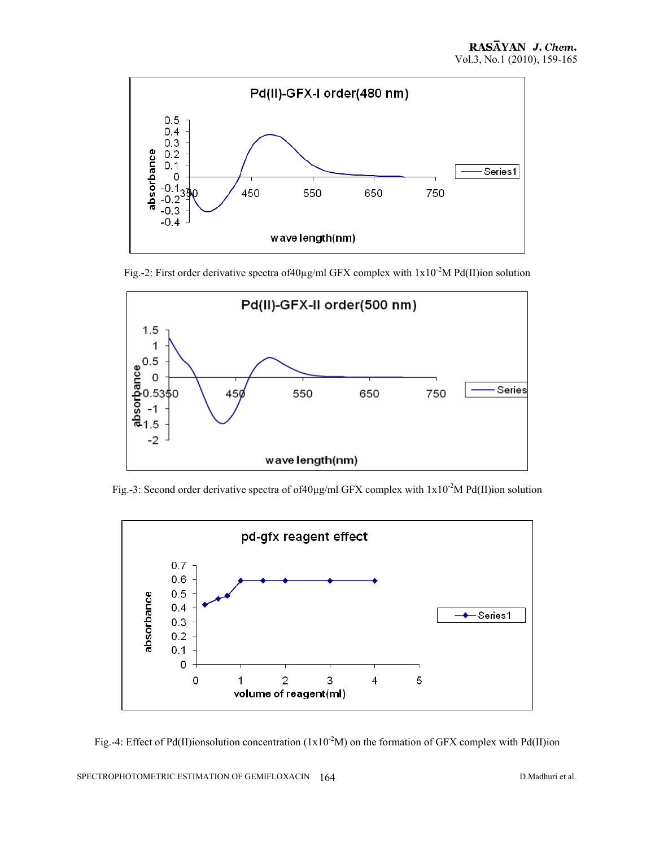

Fig.-2: First order derivative spectra of 40µg/ml GFX complex with  $1x10^{-2}M$  Pd(II)ion solution



Fig.-3: Second order derivative spectra of of40 $\mu$ g/ml GFX complex with  $1x10^{-2}M$  Pd(II)ion solution



Fig.-4: Effect of Pd(II)ionsolution concentration ( $1x10^{-2}M$ ) on the formation of GFX complex with Pd(II)ion